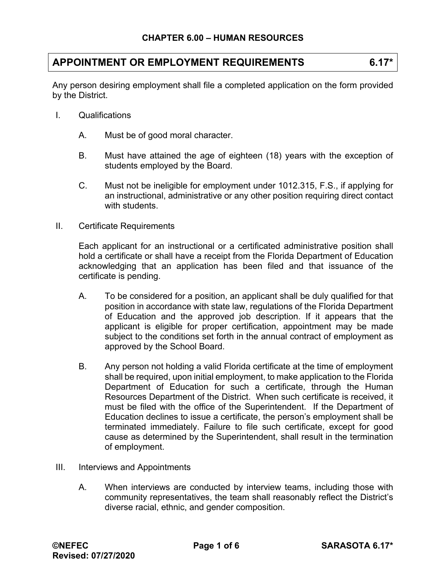# **APPOINTMENT OR EMPLOYMENT REQUIREMENTS 6.17\***

Any person desiring employment shall file a completed application on the form provided by the District.

- I. Qualifications
	- A. Must be of good moral character.
	- B. Must have attained the age of eighteen (18) years with the exception of students employed by the Board.
	- C. Must not be ineligible for employment under 1012.315, F.S., if applying for an instructional, administrative or any other position requiring direct contact with students.
- II. Certificate Requirements

Each applicant for an instructional or a certificated administrative position shall hold a certificate or shall have a receipt from the Florida Department of Education acknowledging that an application has been filed and that issuance of the certificate is pending.

- A. To be considered for a position, an applicant shall be duly qualified for that position in accordance with state law, regulations of the Florida Department of Education and the approved job description. If it appears that the applicant is eligible for proper certification, appointment may be made subject to the conditions set forth in the annual contract of employment as approved by the School Board.
- B. Any person not holding a valid Florida certificate at the time of employment shall be required, upon initial employment, to make application to the Florida Department of Education for such a certificate, through the Human Resources Department of the District. When such certificate is received, it must be filed with the office of the Superintendent. If the Department of Education declines to issue a certificate, the person's employment shall be terminated immediately. Failure to file such certificate, except for good cause as determined by the Superintendent, shall result in the termination of employment.
- III. Interviews and Appointments
	- A. When interviews are conducted by interview teams, including those with community representatives, the team shall reasonably reflect the District's diverse racial, ethnic, and gender composition.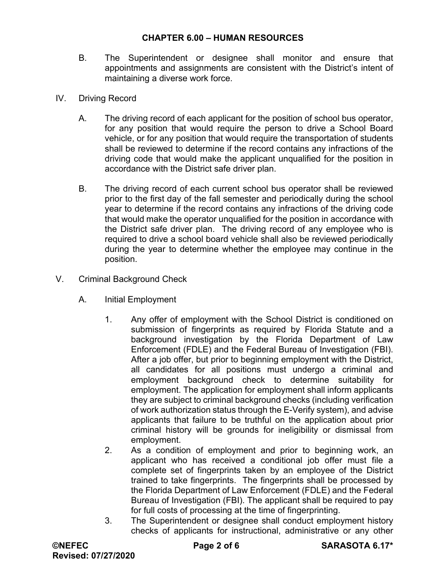- B. The Superintendent or designee shall monitor and ensure that appointments and assignments are consistent with the District's intent of maintaining a diverse work force.
- IV. Driving Record
	- A. The driving record of each applicant for the position of school bus operator, for any position that would require the person to drive a School Board vehicle, or for any position that would require the transportation of students shall be reviewed to determine if the record contains any infractions of the driving code that would make the applicant unqualified for the position in accordance with the District safe driver plan.
	- B. The driving record of each current school bus operator shall be reviewed prior to the first day of the fall semester and periodically during the school year to determine if the record contains any infractions of the driving code that would make the operator unqualified for the position in accordance with the District safe driver plan. The driving record of any employee who is required to drive a school board vehicle shall also be reviewed periodically during the year to determine whether the employee may continue in the position.
- V. Criminal Background Check
	- A. Initial Employment
		- 1. Any offer of employment with the School District is conditioned on submission of fingerprints as required by Florida Statute and a background investigation by the Florida Department of Law Enforcement (FDLE) and the Federal Bureau of Investigation (FBI). After a job offer, but prior to beginning employment with the District, all candidates for all positions must undergo a criminal and employment background check to determine suitability for employment. The application for employment shall inform applicants they are subject to criminal background checks (including verification of work authorization status through the E-Verify system), and advise applicants that failure to be truthful on the application about prior criminal history will be grounds for ineligibility or dismissal from employment.
		- 2. As a condition of employment and prior to beginning work, an applicant who has received a conditional job offer must file a complete set of fingerprints taken by an employee of the District trained to take fingerprints. The fingerprints shall be processed by the Florida Department of Law Enforcement (FDLE) and the Federal Bureau of Investigation (FBI). The applicant shall be required to pay for full costs of processing at the time of fingerprinting.
		- 3. The Superintendent or designee shall conduct employment history checks of applicants for instructional, administrative or any other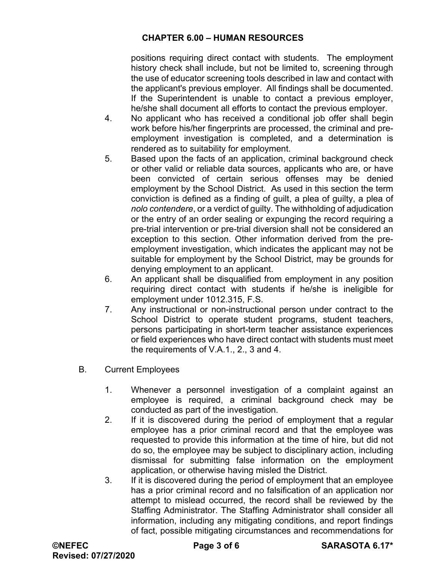positions requiring direct contact with students. The employment history check shall include, but not be limited to, screening through the use of educator screening tools described in law and contact with the applicant's previous employer. All findings shall be documented. If the Superintendent is unable to contact a previous employer, he/she shall document all efforts to contact the previous employer.

- 4. No applicant who has received a conditional job offer shall begin work before his/her fingerprints are processed, the criminal and preemployment investigation is completed, and a determination is rendered as to suitability for employment.
- 5. Based upon the facts of an application, criminal background check or other valid or reliable data sources, applicants who are, or have been convicted of certain serious offenses may be denied employment by the School District. As used in this section the term conviction is defined as a finding of guilt, a plea of guilty, a plea of *nolo contendere*, or a verdict of guilty. The withholding of adjudication or the entry of an order sealing or expunging the record requiring a pre-trial intervention or pre-trial diversion shall not be considered an exception to this section. Other information derived from the preemployment investigation, which indicates the applicant may not be suitable for employment by the School District, may be grounds for denying employment to an applicant.
- 6. An applicant shall be disqualified from employment in any position requiring direct contact with students if he/she is ineligible for employment under 1012.315, F.S.
- 7. Any instructional or non-instructional person under contract to the School District to operate student programs, student teachers, persons participating in short-term teacher assistance experiences or field experiences who have direct contact with students must meet the requirements of V.A.1., 2., 3 and 4.
- B. Current Employees
	- 1. Whenever a personnel investigation of a complaint against an employee is required, a criminal background check may be conducted as part of the investigation.
	- 2. If it is discovered during the period of employment that a regular employee has a prior criminal record and that the employee was requested to provide this information at the time of hire, but did not do so, the employee may be subject to disciplinary action, including dismissal for submitting false information on the employment application, or otherwise having misled the District.
	- 3. If it is discovered during the period of employment that an employee has a prior criminal record and no falsification of an application nor attempt to mislead occurred, the record shall be reviewed by the Staffing Administrator. The Staffing Administrator shall consider all information, including any mitigating conditions, and report findings of fact, possible mitigating circumstances and recommendations for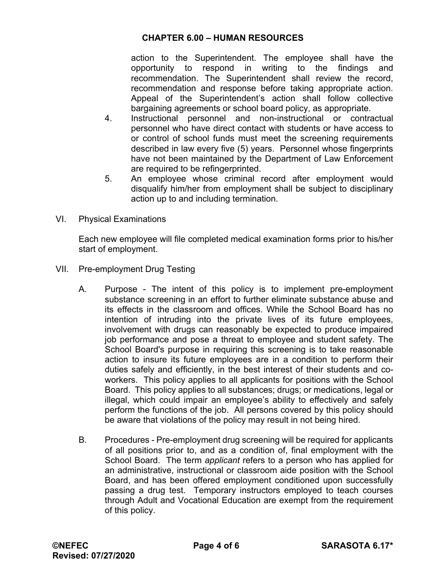action to the Superintendent. The employee shall have the opportunity to respond in writing to the findings and recommendation. The Superintendent shall review the record, recommendation and response before taking appropriate action. Appeal of the Superintendent's action shall follow collective bargaining agreements or school board policy, as appropriate.

- 4. Instructional personnel and non-instructional or contractual personnel who have direct contact with students or have access to or control of school funds must meet the screening requirements described in law every five (5) years. Personnel whose fingerprints have not been maintained by the Department of Law Enforcement are required to be refingerprinted.
- 5. An employee whose criminal record after employment would disqualify him/her from employment shall be subject to disciplinary action up to and including termination.
- VI. Physical Examinations

Each new employee will file completed medical examination forms prior to his/her start of employment.

- VII. Pre-employment Drug Testing
	- A. Purpose The intent of this policy is to implement pre-employment substance screening in an effort to further eliminate substance abuse and its effects in the classroom and offices. While the School Board has no intention of intruding into the private lives of its future employees, involvement with drugs can reasonably be expected to produce impaired job performance and pose a threat to employee and student safety. The School Board's purpose in requiring this screening is to take reasonable action to insure its future employees are in a condition to perform their duties safely and efficiently, in the best interest of their students and coworkers. This policy applies to all applicants for positions with the School Board. This policy applies to all substances; drugs; or medications, legal or illegal, which could impair an employee's ability to effectively and safely perform the functions of the job. All persons covered by this policy should be aware that violations of the policy may result in not being hired.
	- B. Procedures Pre-employment drug screening will be required for applicants of all positions prior to, and as a condition of, final employment with the School Board. The term *applicant* refers to a person who has applied for an administrative, instructional or classroom aide position with the School Board, and has been offered employment conditioned upon successfully passing a drug test. Temporary instructors employed to teach courses through Adult and Vocational Education are exempt from the requirement of this policy.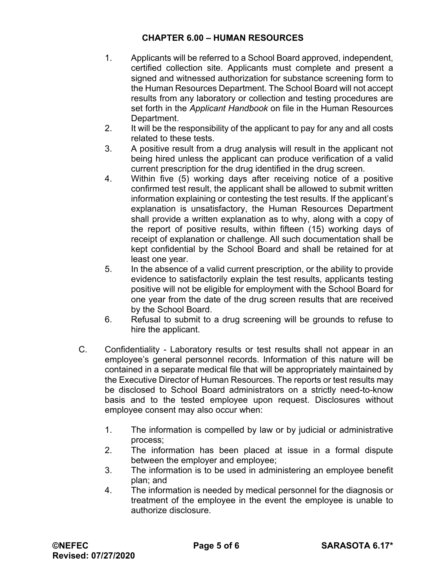- 1. Applicants will be referred to a School Board approved, independent, certified collection site. Applicants must complete and present a signed and witnessed authorization for substance screening form to the Human Resources Department. The School Board will not accept results from any laboratory or collection and testing procedures are set forth in the *Applicant Handbook* on file in the Human Resources Department.
- 2. It will be the responsibility of the applicant to pay for any and all costs related to these tests.
- 3. A positive result from a drug analysis will result in the applicant not being hired unless the applicant can produce verification of a valid current prescription for the drug identified in the drug screen.
- 4. Within five (5) working days after receiving notice of a positive confirmed test result, the applicant shall be allowed to submit written information explaining or contesting the test results. If the applicant's explanation is unsatisfactory, the Human Resources Department shall provide a written explanation as to why, along with a copy of the report of positive results, within fifteen (15) working days of receipt of explanation or challenge. All such documentation shall be kept confidential by the School Board and shall be retained for at least one year.
- 5. In the absence of a valid current prescription, or the ability to provide evidence to satisfactorily explain the test results, applicants testing positive will not be eligible for employment with the School Board for one year from the date of the drug screen results that are received by the School Board.
- 6. Refusal to submit to a drug screening will be grounds to refuse to hire the applicant.
- C. Confidentiality Laboratory results or test results shall not appear in an employee's general personnel records. Information of this nature will be contained in a separate medical file that will be appropriately maintained by the Executive Director of Human Resources. The reports or test results may be disclosed to School Board administrators on a strictly need-to-know basis and to the tested employee upon request. Disclosures without employee consent may also occur when:
	- 1. The information is compelled by law or by judicial or administrative process;
	- 2. The information has been placed at issue in a formal dispute between the employer and employee;
	- 3. The information is to be used in administering an employee benefit plan; and
	- 4. The information is needed by medical personnel for the diagnosis or treatment of the employee in the event the employee is unable to authorize disclosure.